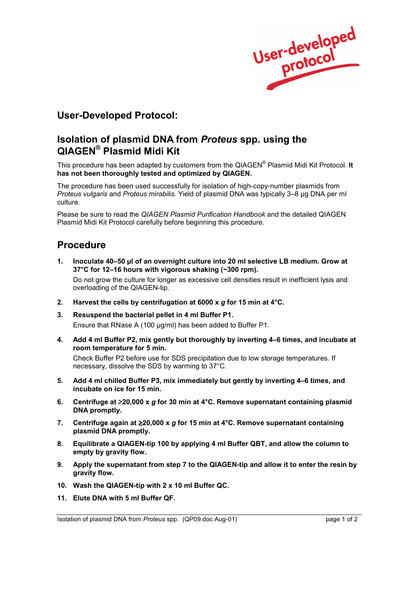

## **User-Developed Protocol:**

## **Isolation of plasmid DNA from** *Proteus* **spp. using the QIAGENÆ Plasmid Midi Kit**

This procedure has been adapted by customers from the QIAGEN<sup>®</sup> Plasmid Midi Kit Protocol. It **has not been thoroughly tested and optimized by QIAGEN.**

The procedure has been used successfully for isolation of high-copy-number plasmids from *Proteus vulgaris* and *Proteus mirabilis*. Yield of plasmid DNA was typically 3-8 µg DNA per ml culture.

Please be sure to read the *QIAGEN Plasmid Purification Handbook* and the detailed QIAGEN Plasmid Midi Kit Protocol carefully before beginning this procedure.

## **Procedure**

1. Inoculate 40-50 µl of an overnight culture into 20 ml selective LB medium. Grow at 37°C for 12–16 hours with vigorous shaking (~300 rpm).

 Do not grow the culture for longer as excessive cell densities result in inefficient lysis and overloading of the QIAGEN-tip.

- **2. Harvest the cells by centrifugation at 6000 x** *g* **for 15 min at 4°C.**
- **3. Resuspend the bacterial pellet in 4 ml Buffer P1.**  Ensure that RNase A (100 µg/ml) has been added to Buffer P1.
- **4.** Add 4 ml Buffer P2, mix gently but thoroughly by inverting 4–6 times, and incubate at **room temperature for 5 min.**

 Check Buffer P2 before use for SDS precipitation due to low storage temperatures. If necessary, dissolve the SDS by warming to 37°C.

- 5. Add 4 ml chilled Buffer P3, mix immediately but gently by inverting 4–6 times, and **incubate on ice for 15 min.**
- **6. Centrifuge at** ≥**20,000 x** *g* **for 30 min at 4°C. Remove supernatant containing plasmid DNA promptly.**
- **7. Centrifuge again at** ≥**20,000 x** *g* **for 15 min at 4°C. Remove supernatant containing plasmid DNA promptly.**
- **8. Equilibrate a QIAGEN-tip 100 by applying 4 ml Buffer QBT, and allow the column to empty by gravity flow.**
- **9. Apply the supernatant from step 7 to the QIAGEN-tip and allow it to enter the resin by gravity flow.**
- **10. Wash the QIAGEN-tip with 2 x 10 ml Buffer QC.**
- **11. Elute DNA with 5 ml Buffer QF.**